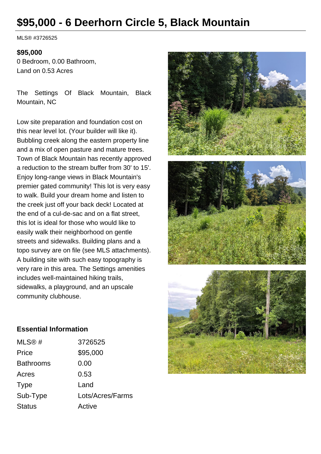# **\$95,000 - 6 Deerhorn Circle 5, Black Mountain**

MLS® #3726525

#### **\$95,000**

0 Bedroom, 0.00 Bathroom, Land on 0.53 Acres

The Settings Of Black Mountain, Black Mountain, NC

Low site preparation and foundation cost on this near level lot. (Your builder will like it). Bubbling creek along the eastern property line and a mix of open pasture and mature trees. Town of Black Mountain has recently approved a reduction to the stream buffer from 30' to 15'. Enjoy long-range views in Black Mountain's premier gated community! This lot is very easy to walk. Build your dream home and listen to the creek just off your back deck! Located at the end of a cul-de-sac and on a flat street, this lot is ideal for those who would like to easily walk their neighborhood on gentle streets and sidewalks. Building plans and a topo survey are on file (see MLS attachments). A building site with such easy topography is very rare in this area. The Settings amenities includes well-maintained hiking trails, sidewalks, a playground, and an upscale community clubhouse.



#### **Essential Information**

| MLS@#            | 3726525          |
|------------------|------------------|
| Price            | \$95,000         |
| <b>Bathrooms</b> | 0.00             |
| Acres            | 0.53             |
| <b>Type</b>      | Land             |
| Sub-Type         | Lots/Acres/Farms |
| <b>Status</b>    | Active           |